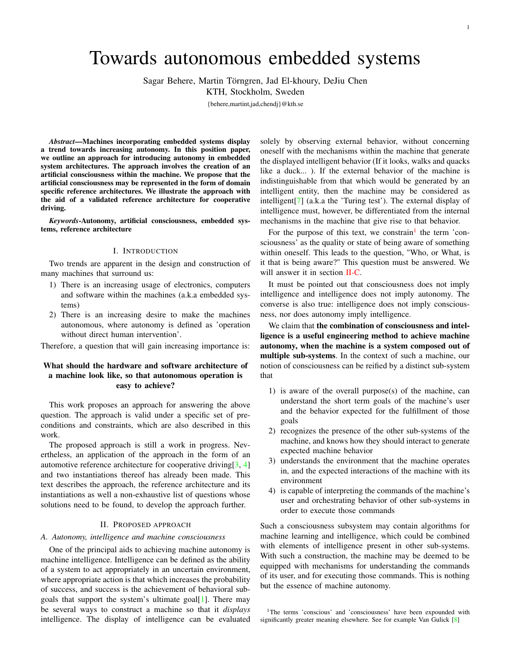# Towards autonomous embedded systems

Sagar Behere, Martin Törngren, Jad El-khoury, DeJiu Chen

KTH, Stockholm, Sweden

{behere,martint,jad,chendj}@kth.se

*Abstract*—Machines incorporating embedded systems display a trend towards increasing autonomy. In this position paper, we outline an approach for introducing autonomy in embedded system architectures. The approach involves the creation of an artificial consciousness within the machine. We propose that the artificial consciousness may be represented in the form of domain specific reference architectures. We illustrate the approach with the aid of a validated reference architecture for cooperative driving.

*Keywords*-Autonomy, artificial consciousness, embedded systems, reference architecture

#### I. INTRODUCTION

Two trends are apparent in the design and construction of many machines that surround us:

- 1) There is an increasing usage of electronics, computers and software within the machines (a.k.a embedded systems)
- 2) There is an increasing desire to make the machines autonomous, where autonomy is defined as 'operation without direct human intervention'.

Therefore, a question that will gain increasing importance is:

# What should the hardware and software architecture of a machine look like, so that autonomous operation is easy to achieve?

This work proposes an approach for answering the above question. The approach is valid under a specific set of preconditions and constraints, which are also described in this work.

The proposed approach is still a work in progress. Nevertheless, an application of the approach in the form of an automotive reference architecture for cooperative driving  $[3, 4]$  $[3, 4]$  $[3, 4]$ and two instantiations thereof has already been made. This text describes the approach, the reference architecture and its instantiations as well a non-exhaustive list of questions whose solutions need to be found, to develop the approach further.

#### II. PROPOSED APPROACH

## <span id="page-0-1"></span>*A. Autonomy, intelligence and machine consciousness*

One of the principal aids to achieving machine autonomy is machine intelligence. Intelligence can be defined as the ability of a system to act appropriately in an uncertain environment, where appropriate action is that which increases the probability of success, and success is the achievement of behavioral subgoals that support the system's ultimate goal[\[1\]](#page-2-1). There may be several ways to construct a machine so that it *displays* intelligence. The display of intelligence can be evaluated

solely by observing external behavior, without concerning oneself with the mechanisms within the machine that generate the displayed intelligent behavior (If it looks, walks and quacks like a duck... ). If the external behavior of the machine is indistinguishable from that which would be generated by an intelligent entity, then the machine may be considered as intelligent[\[7\]](#page-3-1) (a.k.a the 'Turing test'). The external display of intelligence must, however, be differentiated from the internal mechanisms in the machine that give rise to that behavior.

For the purpose of this text, we constrain<sup>[1](#page-0-0)</sup> the term 'consciousness' as the quality or state of being aware of something within oneself. This leads to the question, "Who, or What, is it that is being aware?" This question must be answered. We will answer it in section [II-C.](#page-1-0)

It must be pointed out that consciousness does not imply intelligence and intelligence does not imply autonomy. The converse is also true: intelligence does not imply consciousness, nor does autonomy imply intelligence.

We claim that the combination of consciousness and intelligence is a useful engineering method to achieve machine autonomy, when the machine is a system composed out of multiple sub-systems. In the context of such a machine, our notion of consciousness can be reified by a distinct sub-system that

- 1) is aware of the overall purpose(s) of the machine, can understand the short term goals of the machine's user and the behavior expected for the fulfillment of those goals
- 2) recognizes the presence of the other sub-systems of the machine, and knows how they should interact to generate expected machine behavior
- 3) understands the environment that the machine operates in, and the expected interactions of the machine with its environment
- 4) is capable of interpreting the commands of the machine's user and orchestrating behavior of other sub-systems in order to execute those commands

Such a consciousness subsystem may contain algorithms for machine learning and intelligence, which could be combined with elements of intelligence present in other sub-systems. With such a construction, the machine may be deemed to be equipped with mechanisms for understanding the commands of its user, and for executing those commands. This is nothing but the essence of machine autonomy.

<span id="page-0-0"></span><sup>1</sup>The terms 'conscious' and 'consciousness' have been expounded with significantly greater meaning elsewhere. See for example Van Gulick [\[8\]](#page-3-2)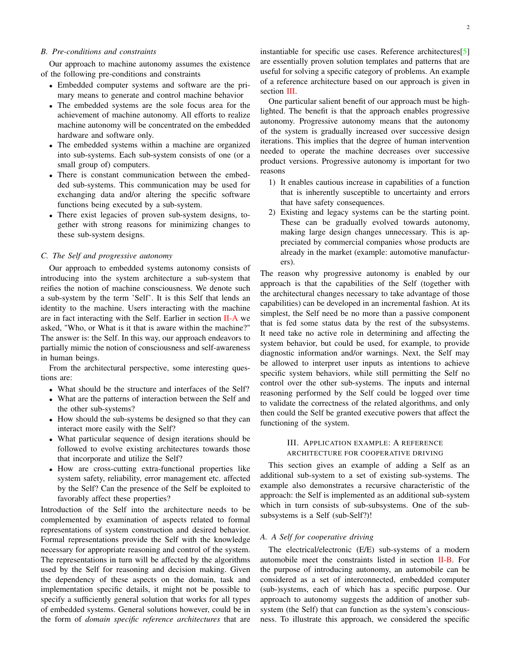### <span id="page-1-2"></span>*B. Pre-conditions and constraints*

Our approach to machine autonomy assumes the existence of the following pre-conditions and constraints

- Embedded computer systems and software are the primary means to generate and control machine behavior
- The embedded systems are the sole focus area for the achievement of machine autonomy. All efforts to realize machine autonomy will be concentrated on the embedded hardware and software only.
- The embedded systems within a machine are organized into sub-systems. Each sub-system consists of one (or a small group of) computers.
- There is constant communication between the embedded sub-systems. This communication may be used for exchanging data and/or altering the specific software functions being executed by a sub-system.
- There exist legacies of proven sub-system designs, together with strong reasons for minimizing changes to these sub-system designs.

## <span id="page-1-0"></span>*C. The Self and progressive autonomy*

Our approach to embedded systems autonomy consists of introducing into the system architecture a sub-system that reifies the notion of machine consciousness. We denote such a sub-system by the term 'Self'. It is this Self that lends an identity to the machine. Users interacting with the machine are in fact interacting with the Self. Earlier in section [II-A](#page-0-1) we asked, "Who, or What is it that is aware within the machine?" The answer is: the Self. In this way, our approach endeavors to partially mimic the notion of consciousness and self-awareness in human beings.

From the architectural perspective, some interesting questions are:

- What should be the structure and interfaces of the Self?
- What are the patterns of interaction between the Self and the other sub-systems?
- How should the sub-systems be designed so that they can interact more easily with the Self?
- What particular sequence of design iterations should be followed to evolve existing architectures towards those that incorporate and utilize the Self?
- How are cross-cutting extra-functional properties like system safety, reliability, error management etc. affected by the Self? Can the presence of the Self be exploited to favorably affect these properties?

Introduction of the Self into the architecture needs to be complemented by examination of aspects related to formal representations of system construction and desired behavior. Formal representations provide the Self with the knowledge necessary for appropriate reasoning and control of the system. The representations in turn will be affected by the algorithms used by the Self for reasoning and decision making. Given the dependency of these aspects on the domain, task and implementation specific details, it might not be possible to specify a sufficiently general solution that works for all types of embedded systems. General solutions however, could be in the form of *domain specific reference architectures* that are instantiable for specific use cases. Reference architectures[\[5\]](#page-3-3) are essentially proven solution templates and patterns that are useful for solving a specific category of problems. An example of a reference architecture based on our approach is given in section [III.](#page-1-1)

One particular salient benefit of our approach must be highlighted. The benefit is that the approach enables progressive autonomy. Progressive autonomy means that the autonomy of the system is gradually increased over successive design iterations. This implies that the degree of human intervention needed to operate the machine decreases over successive product versions. Progressive autonomy is important for two reasons

- 1) It enables cautious increase in capabilities of a function that is inherently susceptible to uncertainty and errors that have safety consequences.
- 2) Existing and legacy systems can be the starting point. These can be gradually evolved towards autonomy, making large design changes unnecessary. This is appreciated by commercial companies whose products are already in the market (example: automotive manufacturers).

The reason why progressive autonomy is enabled by our approach is that the capabilities of the Self (together with the architectural changes necessary to take advantage of those capabilities) can be developed in an incremental fashion. At its simplest, the Self need be no more than a passive component that is fed some status data by the rest of the subsystems. It need take no active role in determining and affecting the system behavior, but could be used, for example, to provide diagnostic information and/or warnings. Next, the Self may be allowed to interpret user inputs as intentions to achieve specific system behaviors, while still permitting the Self no control over the other sub-systems. The inputs and internal reasoning performed by the Self could be logged over time to validate the correctness of the related algorithms, and only then could the Self be granted executive powers that affect the functioning of the system.

# III. APPLICATION EXAMPLE: A REFERENCE ARCHITECTURE FOR COOPERATIVE DRIVING

<span id="page-1-1"></span>This section gives an example of adding a Self as an additional sub-system to a set of existing sub-systems. The example also demonstrates a recursive characteristic of the approach: the Self is implemented as an additional sub-system which in turn consists of sub-subsystems. One of the subsubsystems is a Self (sub-Self?)!

# *A. A Self for cooperative driving*

The electrical/electronic (E/E) sub-systems of a modern automobile meet the constraints listed in section [II-B.](#page-1-2) For the purpose of introducing autonomy, an automobile can be considered as a set of interconnected, embedded computer (sub-)systems, each of which has a specific purpose. Our approach to autonomy suggests the addition of another subsystem (the Self) that can function as the system's consciousness. To illustrate this approach, we considered the specific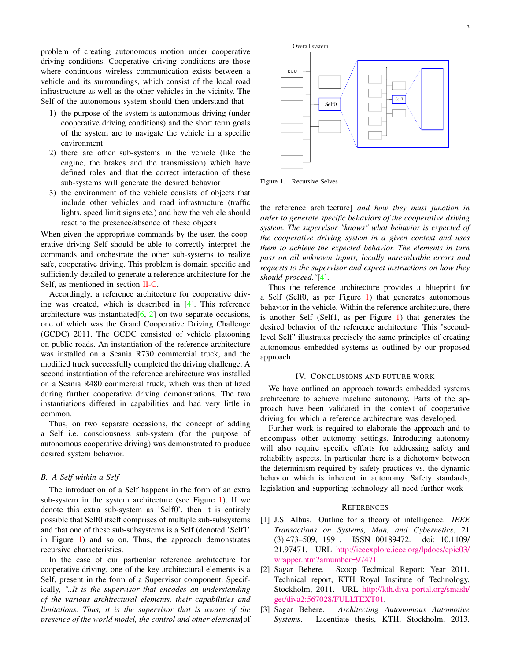problem of creating autonomous motion under cooperative driving conditions. Cooperative driving conditions are those where continuous wireless communication exists between a vehicle and its surroundings, which consist of the local road infrastructure as well as the other vehicles in the vicinity. The Self of the autonomous system should then understand that

- 1) the purpose of the system is autonomous driving (under cooperative driving conditions) and the short term goals of the system are to navigate the vehicle in a specific environment
- 2) there are other sub-systems in the vehicle (like the engine, the brakes and the transmission) which have defined roles and that the correct interaction of these sub-systems will generate the desired behavior
- 3) the environment of the vehicle consists of objects that include other vehicles and road infrastructure (traffic lights, speed limit signs etc.) and how the vehicle should react to the presence/absence of these objects

When given the appropriate commands by the user, the cooperative driving Self should be able to correctly interpret the commands and orchestrate the other sub-systems to realize safe, cooperative driving. This problem is domain specific and sufficiently detailed to generate a reference architecture for the Self, as mentioned in section [II-C.](#page-1-0)

Accordingly, a reference architecture for cooperative driving was created, which is described in [\[4\]](#page-3-0). This reference architecture was instantiated  $[6, 2]$  $[6, 2]$  $[6, 2]$  on two separate occasions, one of which was the Grand Cooperative Driving Challenge (GCDC) 2011. The GCDC consisted of vehicle platooning on public roads. An instantiation of the reference architecture was installed on a Scania R730 commercial truck, and the modified truck successfully completed the driving challenge. A second instantiation of the reference architecture was installed on a Scania R480 commercial truck, which was then utilized during further cooperative driving demonstrations. The two instantiations differed in capabilities and had very little in common.

Thus, on two separate occasions, the concept of adding a Self i.e. consciousness sub-system (for the purpose of autonomous cooperative driving) was demonstrated to produce desired system behavior.

## *B. A Self within a Self*

The introduction of a Self happens in the form of an extra sub-system in the system architecture (see Figure [1\)](#page-2-3). If we denote this extra sub-system as 'Self0', then it is entirely possible that Self0 itself comprises of multiple sub-subsystems and that one of these sub-subsystems is a Self (denoted 'Self1' in Figure [1\)](#page-2-3) and so on. Thus, the approach demonstrates recursive characteristics.

In the case of our particular reference architecture for cooperative driving, one of the key architectural elements is a Self, present in the form of a Supervisor component. Specifically, *"..It is the supervisor that encodes an understanding of the various architectural elements, their capabilities and limitations. Thus, it is the supervisor that is aware of the presence of the world model, the control and other elements*[of



<span id="page-2-3"></span>Figure 1. Recursive Selves

the reference architecture] *and how they must function in order to generate specific behaviors of the cooperative driving system. The supervisor "knows" what behavior is expected of the cooperative driving system in a given context and uses them to achieve the expected behavior. The elements in turn pass on all unknown inputs, locally unresolvable errors and requests to the supervisor and expect instructions on how they should proceed."*[\[4\]](#page-3-0).

Thus the reference architecture provides a blueprint for a Self (Self0, as per Figure [1\)](#page-2-3) that generates autonomous behavior in the vehicle. Within the reference architecture, there is another Self (Self1, as per Figure [1\)](#page-2-3) that generates the desired behavior of the reference architecture. This "secondlevel Self" illustrates precisely the same principles of creating autonomous embedded systems as outlined by our proposed approach.

#### IV. CONCLUSIONS AND FUTURE WORK

We have outlined an approach towards embedded systems architecture to achieve machine autonomy. Parts of the approach have been validated in the context of cooperative driving for which a reference architecture was developed.

Further work is required to elaborate the approach and to encompass other autonomy settings. Introducing autonomy will also require specific efforts for addressing safety and reliability aspects. In particular there is a dichotomy between the determinism required by safety practices vs. the dynamic behavior which is inherent in autonomy. Safety standards, legislation and supporting technology all need further work

#### **REFERENCES**

- <span id="page-2-1"></span>[1] J.S. Albus. Outline for a theory of intelligence. *IEEE Transactions on Systems, Man, and Cybernetics*, 21 (3):473–509, 1991. ISSN 00189472. doi: 10.1109/ 21.97471. URL [http://ieeexplore.ieee.org/lpdocs/epic03/](http://ieeexplore.ieee.org/lpdocs/epic03/wrapper.htm?arnumber=97471) [wrapper.htm?arnumber=97471.](http://ieeexplore.ieee.org/lpdocs/epic03/wrapper.htm?arnumber=97471)
- <span id="page-2-2"></span>[2] Sagar Behere. Scoop Technical Report: Year 2011. Technical report, KTH Royal Institute of Technology, Stockholm, 2011. URL [http://kth.diva-portal.org/smash/](http://kth.diva-portal.org/smash/get/diva2:567028/FULLTEXT01) [get/diva2:567028/FULLTEXT01.](http://kth.diva-portal.org/smash/get/diva2:567028/FULLTEXT01)
- <span id="page-2-0"></span>[3] Sagar Behere. *Architecting Autonomous Automotive Systems*. Licentiate thesis, KTH, Stockholm, 2013.